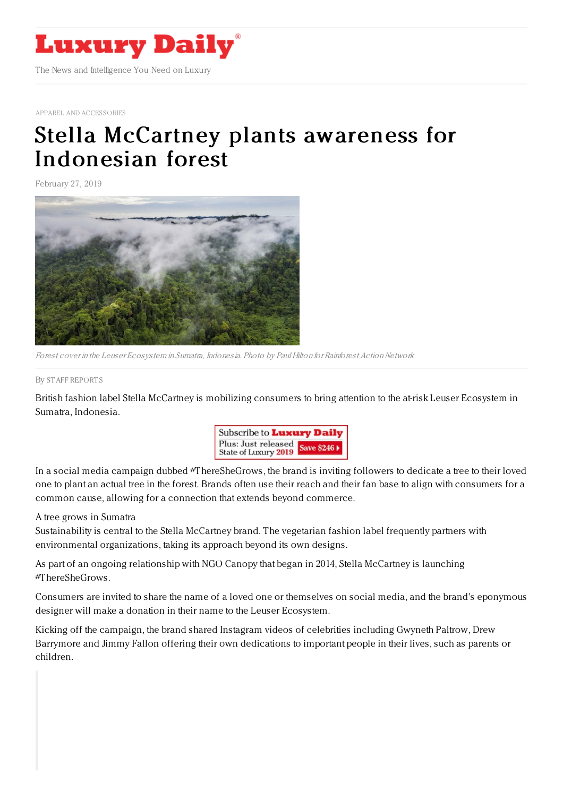

APPAREL AND [ACCESSORIES](https://www.luxurydaily.com/category/sectors/apparel-and-accessories/)

## Stella McCartney plants awareness for [Indonesian](https://www.luxurydaily.com/stella-mccartney-plants-awareness-for-indonesian-forest/) forest

February 27, 2019



Forest cover in the Leuser Ecosystem in Sumatra, Indonesia. Photo by Paul Hilton for Rainforest Action Network

## By STAFF [REPORT](file:///author/staff-reports) S

British fashion label Stella McCartney is mobilizing consumers to bring attention to the at-risk Leuser Ecosystem in Sumatra, Indonesia.



In a social media campaign dubbed #ThereSheGrows, the brand is inviting followers to dedicate a tree to their loved one to plant an actual tree in the forest. Brands often use their reach and their fan base to align with consumers for a common cause, allowing for a connection that extends beyond commerce.

## A tree grows in Sumatra

Sustainability is central to the Stella McCartney brand. The vegetarian fashion label frequently partners with environmental organizations, taking its approach beyond its own designs.

As part of an ongoing relationship with NGO Canopy that began in 2014, Stella McCartney is launching #ThereSheGrows.

Consumers are invited to share the name of a loved one or themselves on social media, and the brand's eponymous designer will make a donation in their name to the Leuser Ecosystem.

Kicking off the campaign, the brand shared Instagram videos of celebrities including Gwyneth Paltrow, Drew Barrymore and Jimmy Fallon offering their own dedications to important people in their lives, such as parents or children.